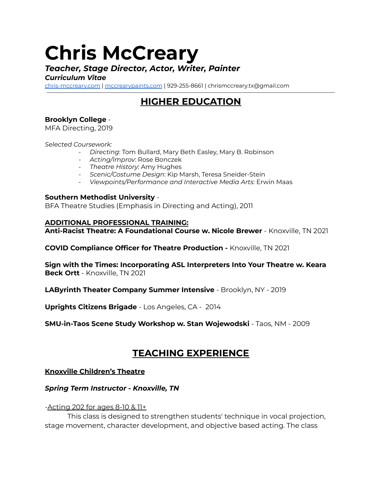# **Chris McCreary**

# *Teacher, Stage Director, Actor, Writer, Painter*

## *Curriculum Vitae*

[chris-mccreary.com](https://www.chris-mccreary.com/) | [mccrearypaints.com](https://www.mccrearypaints.com/) | 929-255-8661 | chrismccreary.tx@gmail.com

# **HIGHER EDUCATION**

## **Brooklyn College** -

MFA Directing, 2019

*Selected Coursework:*

- *Directing*: Tom Bullard, Mary Beth Easley, Mary B. Robinson
- *Acting/Improv*: Rose Bonczek
- *Theatre History*: Amy Hughes
- *Scenic/Costume Design*: Kip Marsh, Teresa Sneider-Stein
- *Viewpoints/Performance and Interactive Media Arts*: Erwin Maas

#### **Southern Methodist University** -

BFA Theatre Studies (Emphasis in Directing and Acting), 2011

#### **ADDITIONAL PROFESSIONAL TRAINING:**

**Anti-Racist Theatre: A Foundational Course w. Nicole Brewer** - Knoxville, TN 2021

**COVID Compliance Officer for Theatre Production -** Knoxville, TN 2021

**Sign with the Times: Incorporating ASL Interpreters Into Your Theatre w. Keara Beck Ortt** - Knoxville, TN 2021

**LAByrinth Theater Company Summer Intensive** - Brooklyn, NY - 2019

**Uprights Citizens Brigade** - Los Angeles, CA - 2014

**SMU-in-Taos Scene Study Workshop w. Stan Wojewodski** - Taos, NM - 2009

## **TEACHING EXPERIENCE**

#### **Knoxville Children's Theatre**

#### *Spring Term Instructor - Knoxville, TN*

#### -Acting 202 for ages 8-10 & 11+

This class is designed to strengthen students' technique in vocal projection, stage movement, character development, and objective based acting. The class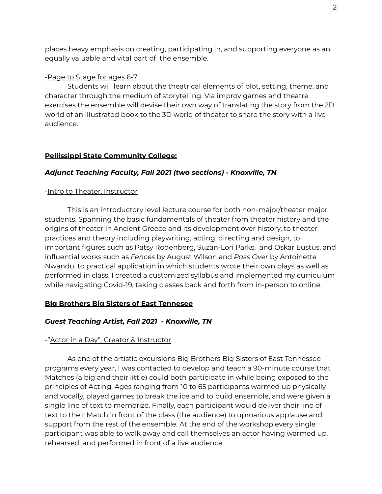places heavy emphasis on creating, participating in, and supporting everyone as an equally valuable and vital part of the ensemble.

#### -Page to Stage for ages 6-7

Students will learn about the theatrical elements of plot, setting, theme, and character through the medium of storytelling. Via improv games and theatre exercises the ensemble will devise their own way of translating the story from the 2D world of an illustrated book to the 3D world of theater to share the story with a live audience.

#### **Pellissippi State Community College:**

#### *Adjunct Teaching Faculty, Fall 2021 (two sections) - Knoxville, TN*

#### -Intro to Theater, Instructor

This is an introductory level lecture course for both non-major/theater major students. Spanning the basic fundamentals of theater from theater history and the origins of theater in Ancient Greece and its development over history, to theater practices and theory including playwriting, acting, directing and design, to important figures such as Patsy Rodenberg, Suzan-Lori Parks, and Oskar Eustus, and influential works such as *Fences* by August Wilson and *Pass Over* by Antoinette Nwandu, to practical application in which students wrote their own plays as well as performed in class. I created a customized syllabus and implemented my curriculum while navigating Covid-19, taking classes back and forth from in-person to online.

#### **Big Brothers Big Sisters of East Tennesee**

#### *Guest Teaching Artist, Fall 2021 - Knoxville, TN*

#### -"Actor in a Day", Creator & Instructor

As one of the artistic excursions Big Brothers Big Sisters of East Tennessee programs every year, I was contacted to develop and teach a 90-minute course that Matches (a big and their little) could both participate in while being exposed to the principles of Acting. Ages ranging from 10 to 65 participants warmed up physically and vocally, played games to break the ice and to build ensemble, and were given a single line of text to memorize. Finally, each participant would deliver their line of text to their Match in front of the class (the audience) to uproarious applause and support from the rest of the ensemble. At the end of the workshop every single participant was able to walk away and call themselves an actor having warmed up, rehearsed, and performed in front of a live audience.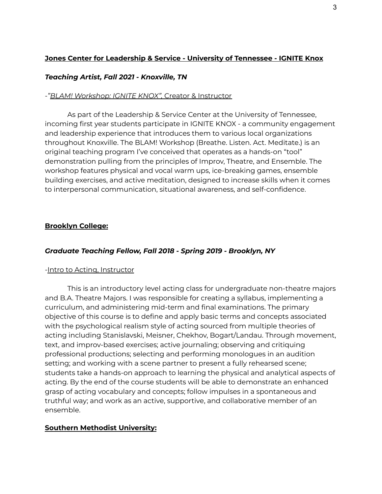## **Jones Center for Leadership & Service - University of Tennessee - IGNITE Knox**

#### *Teaching Artist, Fall 2021 - Knoxville, TN*

#### *-"BLAM! Workshop: IGNITE KNOX",* Creator & Instructor

As part of the Leadership & Service Center at the University of Tennessee, incoming first year students participate in IGNITE KNOX - a community engagement and leadership experience that introduces them to various local organizations throughout Knoxville. The BLAM! Workshop (Breathe. Listen. Act. Meditate.) is an original teaching program I've conceived that operates as a hands-on "tool" demonstration pulling from the principles of Improv, Theatre, and Ensemble. The workshop features physical and vocal warm ups, ice-breaking games, ensemble building exercises, and active meditation, designed to increase skills when it comes to interpersonal communication, situational awareness, and self-confidence.

#### **Brooklyn College:**

## *Graduate Teaching Fellow, Fall 2018 - Spring 2019 - Brooklyn, NY*

#### -Intro to Acting, Instructor

This is an introductory level acting class for undergraduate non-theatre majors and B.A. Theatre Majors. I was responsible for creating a syllabus, implementing a curriculum, and administering mid-term and final examinations. The primary objective of this course is to define and apply basic terms and concepts associated with the psychological realism style of acting sourced from multiple theories of acting including Stanislavski, Meisner, Chekhov, Bogart/Landau. Through movement, text, and improv-based exercises; active journaling; observing and critiquing professional productions; selecting and performing monologues in an audition setting; and working with a scene partner to present a fully rehearsed scene; students take a hands-on approach to learning the physical and analytical aspects of acting. By the end of the course students will be able to demonstrate an enhanced grasp of acting vocabulary and concepts; follow impulses in a spontaneous and truthful way; and work as an active, supportive, and collaborative member of an ensemble.

#### **Southern Methodist University:**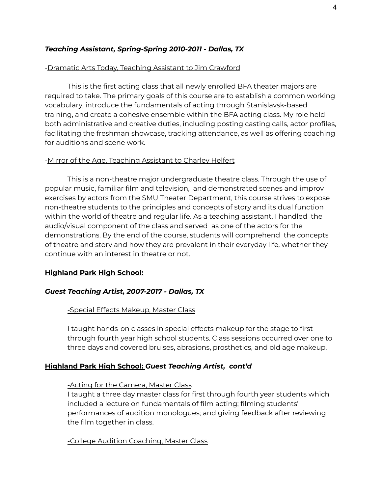#### *Teaching Assistant, Spring-Spring 2010-2011 - Dallas, TX*

#### -Dramatic Arts Today, Teaching Assistant to Jim Crawford

This is the first acting class that all newly enrolled BFA theater majors are required to take. The primary goals of this course are to establish a common working vocabulary, introduce the fundamentals of acting through Stanislavsk-based training, and create a cohesive ensemble within the BFA acting class. My role held both administrative and creative duties, including posting casting calls, actor profiles, facilitating the freshman showcase, tracking attendance, as well as offering coaching for auditions and scene work.

#### -Mirror of the Age, Teaching Assistant to Charley Helfert

This is a non-theatre major undergraduate theatre class. Through the use of popular music, familiar film and television, and demonstrated scenes and improv exercises by actors from the SMU Theater Department, this course strives to expose non-theatre students to the principles and concepts of story and its dual function within the world of theatre and regular life. As a teaching assistant, I handled the audio/visual component of the class and served as one of the actors for the demonstrations. By the end of the course, students will comprehend the concepts of theatre and story and how they are prevalent in their everyday life, whether they continue with an interest in theatre or not.

#### **Highland Park High School:**

#### *Guest Teaching Artist, 2007-2017 - Dallas, TX*

#### -Special Effects Makeup, Master Class

I taught hands-on classes in special effects makeup for the stage to first through fourth year high school students. Class sessions occurred over one to three days and covered bruises, abrasions, prosthetics, and old age makeup.

#### **Highland Park High School:** *Guest Teaching Artist, cont'd*

#### -Acting for the Camera, Master Class

I taught a three day master class for first through fourth year students which included a lecture on fundamentals of film acting; filming students' performances of audition monologues; and giving feedback after reviewing the film together in class.

-College Audition Coaching, Master Class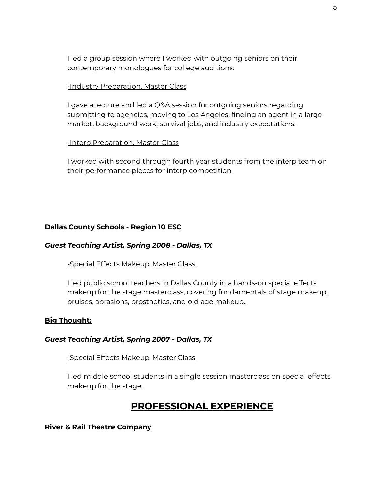I led a group session where I worked with outgoing seniors on their contemporary monologues for college auditions.

#### -Industry Preparation, Master Class

I gave a lecture and led a Q&A session for outgoing seniors regarding submitting to agencies, moving to Los Angeles, finding an agent in a large market, background work, survival jobs, and industry expectations.

#### -Interp Preparation, Master Class

I worked with second through fourth year students from the interp team on their performance pieces for interp competition.

#### **Dallas County Schools - Region 10 ESC**

#### *Guest Teaching Artist, Spring 2008 - Dallas, TX*

#### -Special Effects Makeup, Master Class

I led public school teachers in Dallas County in a hands-on special effects makeup for the stage masterclass, covering fundamentals of stage makeup, bruises, abrasions, prosthetics, and old age makeup..

#### **Big Thought:**

#### *Guest Teaching Artist, Spring 2007 - Dallas, TX*

#### -Special Effects Makeup, Master Class

I led middle school students in a single session masterclass on special effects makeup for the stage.

## **PROFESSIONAL EXPERIENCE**

#### **River & Rail Theatre Company**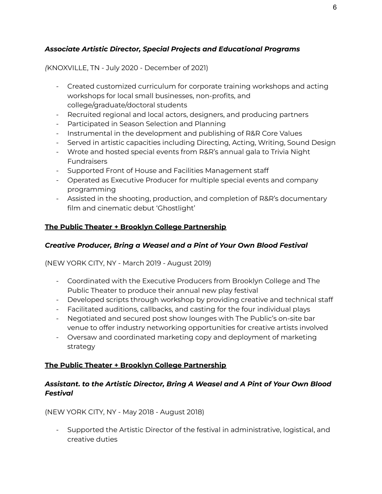## *Associate Artistic Director, Special Projects and Educational Programs*

## *(*KNOXVILLE, TN - July 2020 - December of 2021)

- Created customized curriculum for corporate training workshops and acting workshops for local small businesses, non-profits, and college/graduate/doctoral students
- Recruited regional and local actors, designers, and producing partners
- Participated in Season Selection and Planning
- Instrumental in the development and publishing of R&R Core Values
- Served in artistic capacities including Directing, Acting, Writing, Sound Design
- Wrote and hosted special events from R&R's annual gala to Trivia Night **Fundraisers**
- Supported Front of House and Facilities Management staff
- Operated as Executive Producer for multiple special events and company programming
- Assisted in the shooting, production, and completion of R&R's documentary film and cinematic debut 'Ghostlight'

## **The Public Theater + Brooklyn College Partnership**

## *Creative Producer, Bring a Weasel and a Pint of Your Own Blood Festival*

(NEW YORK CITY, NY - March 2019 - August 2019)

- Coordinated with the Executive Producers from Brooklyn College and The Public Theater to produce their annual new play festival
- Developed scripts through workshop by providing creative and technical staff
- Facilitated auditions, callbacks, and casting for the four individual plays
- Negotiated and secured post show lounges with The Public's on-site bar venue to offer industry networking opportunities for creative artists involved
- Oversaw and coordinated marketing copy and deployment of marketing strategy

## **The Public Theater + Brooklyn College Partnership**

## *Assistant. to the Artistic Director, Bring A Weasel and A Pint of Your Own Blood Festival*

(NEW YORK CITY, NY - May 2018 - August 2018)

- Supported the Artistic Director of the festival in administrative, logistical, and creative duties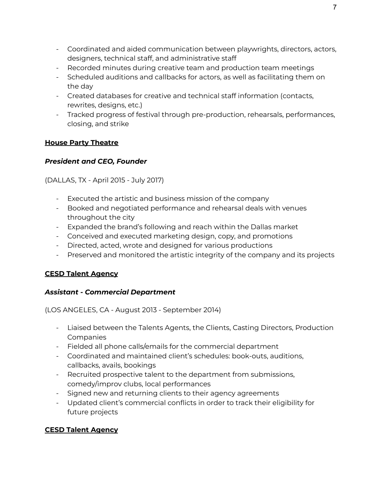- Coordinated and aided communication between playwrights, directors, actors, designers, technical staff, and administrative staff
- Recorded minutes during creative team and production team meetings
- Scheduled auditions and callbacks for actors, as well as facilitating them on the day
- Created databases for creative and technical staff information (contacts, rewrites, designs, etc.)
- Tracked progress of festival through pre-production, rehearsals, performances, closing, and strike

## **House Party Theatre**

## *President and CEO, Founder*

(DALLAS, TX - April 2015 - July 2017)

- Executed the artistic and business mission of the company
- Booked and negotiated performance and rehearsal deals with venues throughout the city
- Expanded the brand's following and reach within the Dallas market
- Conceived and executed marketing design, copy, and promotions
- Directed, acted, wrote and designed for various productions
- Preserved and monitored the artistic integrity of the company and its projects

## **CESD Talent Agency**

## *Assistant - Commercial Department*

(LOS ANGELES, CA - August 2013 - September 2014)

- Liaised between the Talents Agents, the Clients, Casting Directors, Production Companies
- Fielded all phone calls/emails for the commercial department
- Coordinated and maintained client's schedules: book-outs, auditions, callbacks, avails, bookings
- Recruited prospective talent to the department from submissions, comedy/improv clubs, local performances
- Signed new and returning clients to their agency agreements
- Updated client's commercial conflicts in order to track their eligibility for future projects

## **CESD Talent Agency**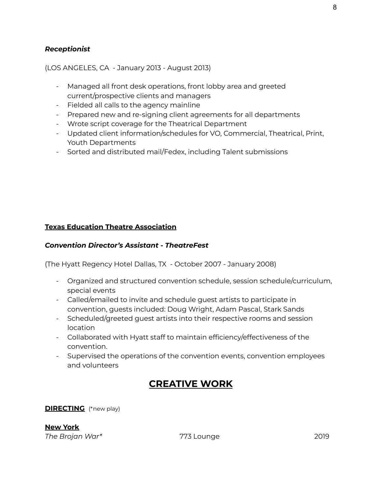#### *Receptionist*

#### (LOS ANGELES, CA - January 2013 - August 2013)

- Managed all front desk operations, front lobby area and greeted current/prospective clients and managers
- Fielded all calls to the agency mainline
- Prepared new and re-signing client agreements for all departments
- Wrote script coverage for the Theatrical Department
- Updated client information/schedules for VO, Commercial, Theatrical, Print, Youth Departments
- Sorted and distributed mail/Fedex, including Talent submissions

## **Texas Education Theatre Association**

## *Convention Director's Assistant - TheatreFest*

(The Hyatt Regency Hotel Dallas, TX - October 2007 - January 2008)

- Organized and structured convention schedule, session schedule/curriculum, special events
- Called/emailed to invite and schedule guest artists to participate in convention, guests included: Doug Wright, Adam Pascal, Stark Sands
- Scheduled/greeted guest artists into their respective rooms and session location
- Collaborated with Hyatt staff to maintain efficiency/effectiveness of the convention.
- Supervised the operations of the convention events, convention employees and volunteers

# **CREATIVE WORK**

**DIRECTING** (\*new play)

**New York** *The Brojan War\** 773 Lounge 2019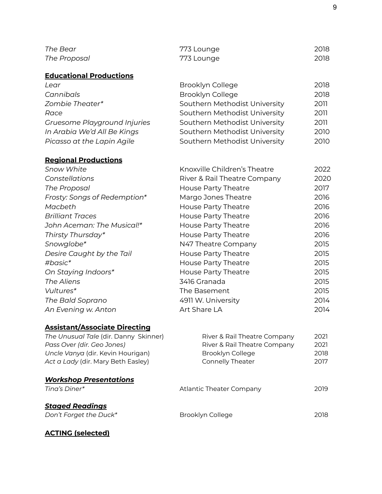| The Bear                              | 773 Lounge                    | 2018 |
|---------------------------------------|-------------------------------|------|
| The Proposal                          | 773 Lounge                    | 2018 |
| <b>Educational Productions</b>        |                               |      |
| Lear                                  | Brooklyn College              | 2018 |
| Cannibals                             | Brooklyn College              | 2018 |
| Zombie Theater*                       | Southern Methodist University | 2011 |
| Race                                  | Southern Methodist University | 2011 |
| Gruesome Playground Injuries          | Southern Methodist University | 2011 |
| In Arabia We'd All Be Kings           | Southern Methodist University | 2010 |
| Picasso at the Lapin Agile            | Southern Methodist University | 2010 |
| <b>Regional Productions</b>           |                               |      |
| <b>Snow White</b>                     | Knoxville Children's Theatre  | 2022 |
| Constellations                        | River & Rail Theatre Company  | 2020 |
| The Proposal                          | House Party Theatre           | 2017 |
| Frosty: Songs of Redemption*          | Margo Jones Theatre           | 2016 |
| Macbeth                               | House Party Theatre           | 2016 |
| <b>Brilliant Traces</b>               | House Party Theatre           | 2016 |
| John Aceman: The Musical!*            | <b>House Party Theatre</b>    | 2016 |
| Thirsty Thursday*                     | House Party Theatre           | 2016 |
| Snowglobe*                            | N47 Theatre Company           | 2015 |
| Desire Caught by the Tail             | House Party Theatre           | 2015 |
| #basic*                               | <b>House Party Theatre</b>    | 2015 |
| On Staying Indoors*                   | <b>House Party Theatre</b>    | 2015 |
| The Aliens                            | 3416 Granada                  | 2015 |
| Vultures*                             | The Basement                  | 2015 |
| The Bald Soprano                      | 4911 W. University            | 2014 |
| An Evening w. Anton                   | Art Share LA                  | 2014 |
| <b>Assistant/Associate Directing</b>  |                               |      |
| The Unusual Tale (dir. Danny Skinner) | River & Rail Theatre Company  | 2021 |
| Pass Over (dir. Geo Jones)            | River & Rail Theatre Company  | 2021 |
| Uncle Vanya (dir. Kevin Hourigan)     | Brooklyn College              | 2018 |
| Act a Lady (dir. Mary Beth Easley)    | Connelly Theater              | 2017 |
| <u>Workshop Presentations</u>         |                               |      |
| Tina's Diner*                         | Atlantic Theater Company      | 2019 |
| <b>Staged Readings</b>                |                               | 2018 |
| Don't Forget the Duck*                | Brooklyn College              |      |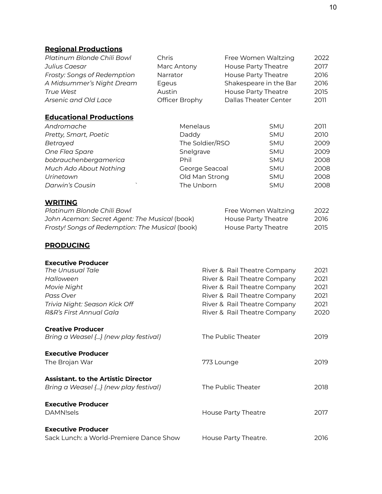## **Regional Productions**

| Platinum Blonde Chili Bowl  | Chris          | Free Women Waltzing    | 2022 |
|-----------------------------|----------------|------------------------|------|
| Julius Caesar               | Marc Antony    | House Party Theatre    | 2017 |
| Frosty: Songs of Redemption | Narrator       | House Party Theatre    | 2016 |
| A Midsummer's Night Dream   | Egeus          | Shakespeare in the Bar | 2016 |
| <b>True West</b>            | Austin         | House Party Theatre    | 2015 |
| Arsenic and Old Lace        | Officer Brophy | Dallas Theater Center  | 2011 |

## **Educational Productions**

| Andromache             | Menelaus        | <b>SMU</b> | 2011 |
|------------------------|-----------------|------------|------|
| Pretty, Smart, Poetic  | Daddy           | <b>SMU</b> | 2010 |
| Betrayed               | The Soldier/RSO | <b>SMU</b> | 2009 |
| One Flea Spare         | Snelgrave       | <b>SMU</b> | 2009 |
| bobrauchenbergamerica  | <b>Phil</b>     | <b>SMU</b> | 2008 |
| Much Ado About Nothing | George Seacoal  | <b>SMU</b> | 2008 |
| Urinetown              | Old Man Strong  | <b>SMU</b> | 2008 |
| Darwin's Cousin        | The Unborn      | <b>SMU</b> | 2008 |

## **WRITING**

| Platinum Blonde Chili Bowl                      | Free Women Waltzing | 2022 |
|-------------------------------------------------|---------------------|------|
| John Aceman: Secret Agent: The Musical (book)   | House Party Theatre | 2016 |
| Frosty! Songs of Redemption: The Musical (book) | House Party Theatre | 2015 |

## **PRODUCING**

| <b>Executive Producer</b>                  |                              |      |
|--------------------------------------------|------------------------------|------|
| The Unusual Tale                           | River & Rail Theatre Company | 2021 |
| Halloween                                  | River & Rail Theatre Company | 2021 |
| Movie Night                                | River & Rail Theatre Company | 2021 |
| Pass Over                                  | River & Rail Theatre Company | 2021 |
| Trivia Night: Season Kick Off              | River & Rail Theatre Company | 2021 |
| R&R's First Annual Gala                    | River & Rail Theatre Company | 2020 |
| <b>Creative Producer</b>                   |                              |      |
| Bring a Weasel {} (new play festival)      | The Public Theater           | 2019 |
| <b>Executive Producer</b>                  |                              |      |
| The Brojan War                             | 773 Lounge                   | 2019 |
| <b>Assistant, to the Artistic Director</b> |                              |      |
| Bring a Weasel {} (new play festival)      | The Public Theater           | 2018 |
| <b>Executive Producer</b>                  |                              |      |
| DAMN!sels                                  | House Party Theatre          | 2017 |
| <b>Executive Producer</b>                  |                              |      |
| Sack Lunch: a World-Premiere Dance Show    | House Party Theatre.         | 2016 |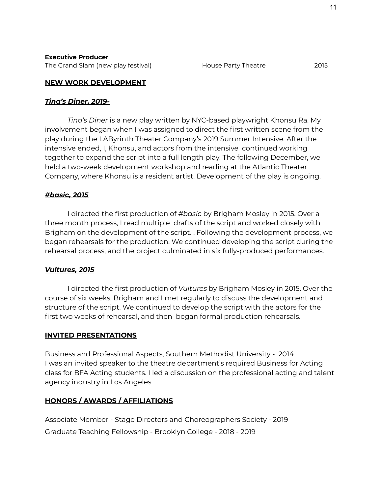The Grand Slam (new play festival) The Grand Slam (new play festival) House Party Theatre 2015

#### **NEW WORK DEVELOPMENT**

#### *Tina's Diner, 2019-*

*Tina's Diner* is a new play written by NYC-based playwright Khonsu Ra. My involvement began when I was assigned to direct the first written scene from the play during the LAByrinth Theater Company's 2019 Summer Intensive. After the intensive ended, I, Khonsu, and actors from the intensive continued working together to expand the script into a full length play. The following December, we held a two-week development workshop and reading at the Atlantic Theater Company, where Khonsu is a resident artist. Development of the play is ongoing.

#### *#basic, 2015*

I directed the first production of *#basic* by Brigham Mosley in 2015. Over a three month process, I read multiple drafts of the script and worked closely with Brigham on the development of the script. . Following the development process, we began rehearsals for the production. We continued developing the script during the rehearsal process, and the project culminated in six fully-produced performances.

#### *Vultures, 2015*

I directed the first production of *Vultures* by Brigham Mosley in 2015. Over the course of six weeks, Brigham and I met regularly to discuss the development and structure of the script. We continued to develop the script with the actors for the first two weeks of rehearsal, and then began formal production rehearsals.

#### **INVITED PRESENTATIONS**

Business and Professional Aspects, Southern Methodist University - 2014 I was an invited speaker to the theatre department's required Business for Acting class for BFA Acting students. I led a discussion on the professional acting and talent agency industry in Los Angeles.

## **HONORS / AWARDS / AFFILIATIONS**

Associate Member - Stage Directors and Choreographers Society - 2019 Graduate Teaching Fellowship - Brooklyn College - 2018 - 2019